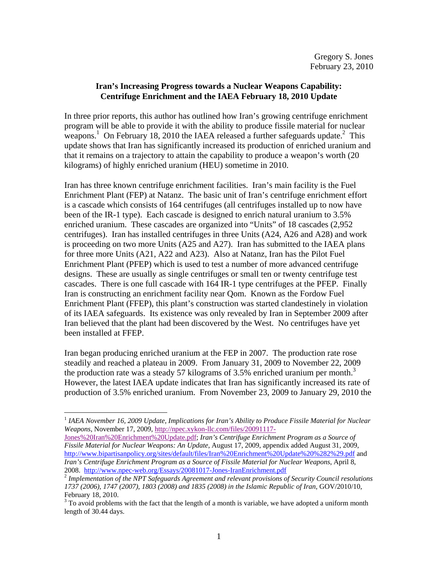## **Iran's Increasing Progress towards a Nuclear Weapons Capability: Centrifuge Enrichment and the IAEA February 18, 2010 Update**

In three prior reports, this author has outlined how Iran's growing centrifuge enrichment program will be able to provide it with the ability to produce fissile material for nuclear weapons.<sup>1</sup> On February 18, 2010 the IAEA released a further safeguards update.<sup>2</sup> This update shows that Iran has significantly increased its production of enriched uranium and that it remains on a trajectory to attain the capability to produce a weapon's worth (20 kilograms) of highly enriched uranium (HEU) sometime in 2010.

Iran has three known centrifuge enrichment facilities. Iran's main facility is the Fuel Enrichment Plant (FEP) at Natanz. The basic unit of Iran's centrifuge enrichment effort is a cascade which consists of 164 centrifuges (all centrifuges installed up to now have been of the IR-1 type). Each cascade is designed to enrich natural uranium to 3.5% enriched uranium. These cascades are organized into "Units" of 18 cascades (2,952 centrifuges). Iran has installed centrifuges in three Units (A24, A26 and A28) and work is proceeding on two more Units (A25 and A27). Iran has submitted to the IAEA plans for three more Units (A21, A22 and A23). Also at Natanz, Iran has the Pilot Fuel Enrichment Plant (PFEP) which is used to test a number of more advanced centrifuge designs. These are usually as single centrifuges or small ten or twenty centrifuge test cascades. There is one full cascade with 164 IR-1 type centrifuges at the PFEP. Finally Iran is constructing an enrichment facility near Qom. Known as the Fordow Fuel Enrichment Plant (FFEP), this plant's construction was started clandestinely in violation of its IAEA safeguards. Its existence was only revealed by Iran in September 2009 after Iran believed that the plant had been discovered by the West. No centrifuges have yet been installed at FFEP.

Iran began producing enriched uranium at the FEP in 2007. The production rate rose steadily and reached a plateau in 2009. From January 31, 2009 to November 22, 2009 the production rate was a steady 57 kilograms of 3.5% enriched uranium per month.<sup>3</sup> However, the latest IAEA update indicates that Iran has significantly increased its rate of production of 3.5% enriched uranium. From November 23, 2009 to January 29, 2010 the

1

Jones%20Iran%20Enrichment%20Update.pdf; *Iran's Centrifuge Enrichment Program as a Source of Fissile Material for Nuclear Weapons: An Update*, August 17, 2009, appendix added August 31, 2009, http://www.bipartisanpolicy.org/sites/default/files/Iran%20Enrichment%20Update%20%282%29.pdf and *Iran's Centrifuge Enrichment Program as a Source of Fissile Material for Nuclear Weapons*, April 8,

<sup>1</sup> *IAEA November 16, 2009 Update, Implications for Iran's Ability to Produce Fissile Material for Nuclear Weapons*, November 17, 2009, http://npec.xykon-llc.com/files/20091117-

<sup>&</sup>lt;sup>2</sup> Implementation of the NPT Safeguards Agreement and relevant provisions of Security Council resolutions *1737 (2006), 1747 (2007), 1803 (2008) and 1835 (2008) in the Islamic Republic of Iran*, GOV/2010/10, February 18, 2010.

 $3$  To avoid problems with the fact that the length of a month is variable, we have adopted a uniform month length of 30.44 days.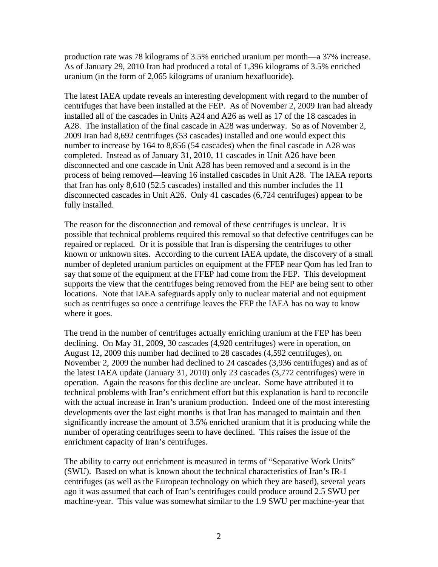production rate was 78 kilograms of 3.5% enriched uranium per month—a 37% increase. As of January 29, 2010 Iran had produced a total of 1,396 kilograms of 3.5% enriched uranium (in the form of 2,065 kilograms of uranium hexafluoride).

The latest IAEA update reveals an interesting development with regard to the number of centrifuges that have been installed at the FEP. As of November 2, 2009 Iran had already installed all of the cascades in Units A24 and A26 as well as 17 of the 18 cascades in A28. The installation of the final cascade in A28 was underway. So as of November 2, 2009 Iran had 8,692 centrifuges (53 cascades) installed and one would expect this number to increase by 164 to 8,856 (54 cascades) when the final cascade in A28 was completed. Instead as of January 31, 2010, 11 cascades in Unit A26 have been disconnected and one cascade in Unit A28 has been removed and a second is in the process of being removed—leaving 16 installed cascades in Unit A28. The IAEA reports that Iran has only 8,610 (52.5 cascades) installed and this number includes the 11 disconnected cascades in Unit A26. Only 41 cascades (6,724 centrifuges) appear to be fully installed.

The reason for the disconnection and removal of these centrifuges is unclear. It is possible that technical problems required this removal so that defective centrifuges can be repaired or replaced. Or it is possible that Iran is dispersing the centrifuges to other known or unknown sites. According to the current IAEA update, the discovery of a small number of depleted uranium particles on equipment at the FFEP near Qom has led Iran to say that some of the equipment at the FFEP had come from the FEP. This development supports the view that the centrifuges being removed from the FEP are being sent to other locations. Note that IAEA safeguards apply only to nuclear material and not equipment such as centrifuges so once a centrifuge leaves the FEP the IAEA has no way to know where it goes.

The trend in the number of centrifuges actually enriching uranium at the FEP has been declining. On May 31, 2009, 30 cascades (4,920 centrifuges) were in operation, on August 12, 2009 this number had declined to 28 cascades (4,592 centrifuges), on November 2, 2009 the number had declined to 24 cascades (3,936 centrifuges) and as of the latest IAEA update (January 31, 2010) only 23 cascades (3,772 centrifuges) were in operation. Again the reasons for this decline are unclear. Some have attributed it to technical problems with Iran's enrichment effort but this explanation is hard to reconcile with the actual increase in Iran's uranium production. Indeed one of the most interesting developments over the last eight months is that Iran has managed to maintain and then significantly increase the amount of 3.5% enriched uranium that it is producing while the number of operating centrifuges seem to have declined. This raises the issue of the enrichment capacity of Iran's centrifuges.

The ability to carry out enrichment is measured in terms of "Separative Work Units" (SWU). Based on what is known about the technical characteristics of Iran's IR-1 centrifuges (as well as the European technology on which they are based), several years ago it was assumed that each of Iran's centrifuges could produce around 2.5 SWU per machine-year. This value was somewhat similar to the 1.9 SWU per machine-year that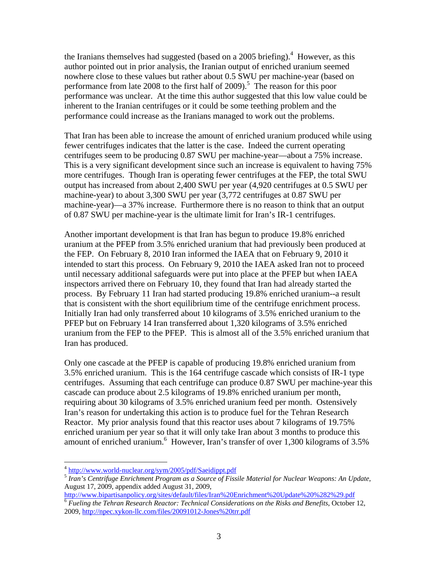the Iranians themselves had suggested (based on a 2005 briefing). $<sup>4</sup>$  However, as this</sup> author pointed out in prior analysis, the Iranian output of enriched uranium seemed nowhere close to these values but rather about 0.5 SWU per machine-year (based on performance from late 2008 to the first half of  $2009$ ).<sup>5</sup> The reason for this poor performance was unclear. At the time this author suggested that this low value could be inherent to the Iranian centrifuges or it could be some teething problem and the performance could increase as the Iranians managed to work out the problems.

That Iran has been able to increase the amount of enriched uranium produced while using fewer centrifuges indicates that the latter is the case. Indeed the current operating centrifuges seem to be producing 0.87 SWU per machine-year—about a 75% increase. This is a very significant development since such an increase is equivalent to having 75% more centrifuges. Though Iran is operating fewer centrifuges at the FEP, the total SWU output has increased from about 2,400 SWU per year (4,920 centrifuges at 0.5 SWU per machine-year) to about 3,300 SWU per year (3,772 centrifuges at 0.87 SWU per machine-year)—a 37% increase. Furthermore there is no reason to think that an output of 0.87 SWU per machine-year is the ultimate limit for Iran's IR-1 centrifuges.

Another important development is that Iran has begun to produce 19.8% enriched uranium at the PFEP from 3.5% enriched uranium that had previously been produced at the FEP. On February 8, 2010 Iran informed the IAEA that on February 9, 2010 it intended to start this process. On February 9, 2010 the IAEA asked Iran not to proceed until necessary additional safeguards were put into place at the PFEP but when IAEA inspectors arrived there on February 10, they found that Iran had already started the process. By February 11 Iran had started producing 19.8% enriched uranium--a result that is consistent with the short equilibrium time of the centrifuge enrichment process. Initially Iran had only transferred about 10 kilograms of 3.5% enriched uranium to the PFEP but on February 14 Iran transferred about 1,320 kilograms of 3.5% enriched uranium from the FEP to the PFEP. This is almost all of the 3.5% enriched uranium that Iran has produced.

Only one cascade at the PFEP is capable of producing 19.8% enriched uranium from 3.5% enriched uranium. This is the 164 centrifuge cascade which consists of IR-1 type centrifuges. Assuming that each centrifuge can produce 0.87 SWU per machine-year this cascade can produce about 2.5 kilograms of 19.8% enriched uranium per month, requiring about 30 kilograms of 3.5% enriched uranium feed per month. Ostensively Iran's reason for undertaking this action is to produce fuel for the Tehran Research Reactor. My prior analysis found that this reactor uses about 7 kilograms of 19.75% enriched uranium per year so that it will only take Iran about 3 months to produce this amount of enriched uranium.<sup>6</sup> However, Iran's transfer of over 1,300 kilograms of 3.5%

<sup>&</sup>lt;sup>4</sup> http://www.world-nuclear.org/sym/2005/pdf/Saeidippt.pdf

<sup>&</sup>lt;sup>5</sup> Iran's Centrifuge Enrichment Program as a Source of Fissile Material for Nuclear Weapons: An Update, August 17, 2009, appendix added August 31, 2009,<br>http://www.bipartisanpolicy.org/sites/default/files/Iran%20Enrichment%20Update%20%282%29.pdf

 $\overline{6}$  Fueling the Tehran Research Reactor: Technical Considerations on the Risks and Benefits, October 12, 2009, http://npec.xykon-llc.com/files/20091012-Jones%20trr.pdf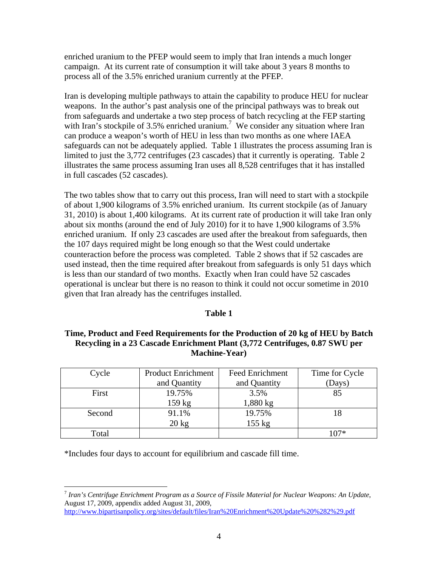enriched uranium to the PFEP would seem to imply that Iran intends a much longer campaign. At its current rate of consumption it will take about 3 years 8 months to process all of the 3.5% enriched uranium currently at the PFEP.

Iran is developing multiple pathways to attain the capability to produce HEU for nuclear weapons. In the author's past analysis one of the principal pathways was to break out from safeguards and undertake a two step process of batch recycling at the FEP starting with Iran's stockpile of 3.5% enriched uranium.<sup>7</sup> We consider any situation where Iran can produce a weapon's worth of HEU in less than two months as one where IAEA safeguards can not be adequately applied. Table 1 illustrates the process assuming Iran is limited to just the 3,772 centrifuges (23 cascades) that it currently is operating. Table 2 illustrates the same process assuming Iran uses all 8,528 centrifuges that it has installed in full cascades (52 cascades).

The two tables show that to carry out this process, Iran will need to start with a stockpile of about 1,900 kilograms of 3.5% enriched uranium. Its current stockpile (as of January 31, 2010) is about 1,400 kilograms. At its current rate of production it will take Iran only about six months (around the end of July 2010) for it to have 1,900 kilograms of 3.5% enriched uranium. If only 23 cascades are used after the breakout from safeguards, then the 107 days required might be long enough so that the West could undertake counteraction before the process was completed. Table 2 shows that if 52 cascades are used instead, then the time required after breakout from safeguards is only 51 days which is less than our standard of two months. Exactly when Iran could have 52 cascades operational is unclear but there is no reason to think it could not occur sometime in 2010 given that Iran already has the centrifuges installed.

## **Table 1**

# **Time, Product and Feed Requirements for the Production of 20 kg of HEU by Batch Recycling in a 23 Cascade Enrichment Plant (3,772 Centrifuges, 0.87 SWU per Machine-Year)**

| Cycle  | <b>Product Enrichment</b> | <b>Feed Enrichment</b> | Time for Cycle |
|--------|---------------------------|------------------------|----------------|
|        | and Quantity              | and Quantity           | (Days)         |
| First  | 19.75%                    | 3.5%                   | 85             |
|        | 159 kg                    | 1,880 kg               |                |
| Second | 91.1%                     | 19.75%                 |                |
|        | $20 \text{ kg}$           | $155$ kg               |                |
| Total  |                           |                        | $107*$         |

\*Includes four days to account for equilibrium and cascade fill time.

 $\overline{a}$ <sup>7</sup> *Iran's Centrifuge Enrichment Program as a Source of Fissile Material for Nuclear Weapons: An Update*, August 17, 2009, appendix added August 31, 2009,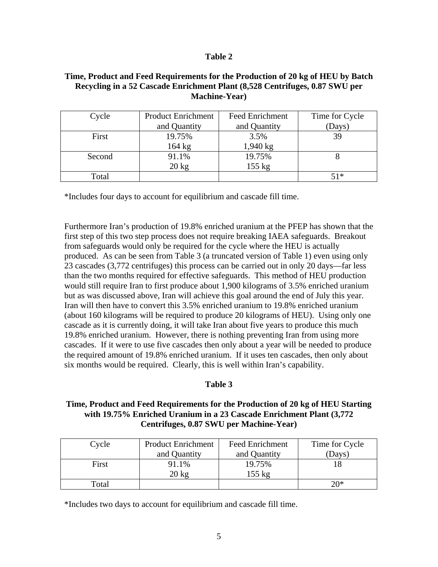#### **Table 2**

#### **Time, Product and Feed Requirements for the Production of 20 kg of HEU by Batch Recycling in a 52 Cascade Enrichment Plant (8,528 Centrifuges, 0.87 SWU per Machine-Year)**

| Cycle  | <b>Product Enrichment</b> | <b>Feed Enrichment</b> | Time for Cycle |
|--------|---------------------------|------------------------|----------------|
|        | and Quantity              | and Quantity           | (Days)         |
| First  | 19.75%                    | 3.5%                   | 39             |
|        | $164 \text{ kg}$          | $1,940 \text{ kg}$     |                |
| Second | 91.1%                     | 19.75%                 |                |
|        | $20 \text{ kg}$           | $155$ kg               |                |
| Total  |                           |                        | $51*$          |

\*Includes four days to account for equilibrium and cascade fill time.

Furthermore Iran's production of 19.8% enriched uranium at the PFEP has shown that the first step of this two step process does not require breaking IAEA safeguards. Breakout from safeguards would only be required for the cycle where the HEU is actually produced. As can be seen from Table 3 (a truncated version of Table 1) even using only 23 cascades (3,772 centrifuges) this process can be carried out in only 20 days—far less than the two months required for effective safeguards. This method of HEU production would still require Iran to first produce about 1,900 kilograms of 3.5% enriched uranium but as was discussed above, Iran will achieve this goal around the end of July this year. Iran will then have to convert this 3.5% enriched uranium to 19.8% enriched uranium (about 160 kilograms will be required to produce 20 kilograms of HEU). Using only one cascade as it is currently doing, it will take Iran about five years to produce this much 19.8% enriched uranium. However, there is nothing preventing Iran from using more cascades. If it were to use five cascades then only about a year will be needed to produce the required amount of 19.8% enriched uranium. If it uses ten cascades, then only about six months would be required. Clearly, this is well within Iran's capability.

## **Table 3**

# **Time, Product and Feed Requirements for the Production of 20 kg of HEU Starting with 19.75% Enriched Uranium in a 23 Cascade Enrichment Plant (3,772 Centrifuges, 0.87 SWU per Machine-Year)**

| Cycle | <b>Product Enrichment</b> | Feed Enrichment  | Time for Cycle |
|-------|---------------------------|------------------|----------------|
|       | and Quantity              | and Quantity     | (Days)         |
| First | 91.1%                     | 19.75%           |                |
|       | $20 \text{ kg}$           | $155 \text{ kg}$ |                |
| Total |                           |                  | $20*$          |

\*Includes two days to account for equilibrium and cascade fill time.